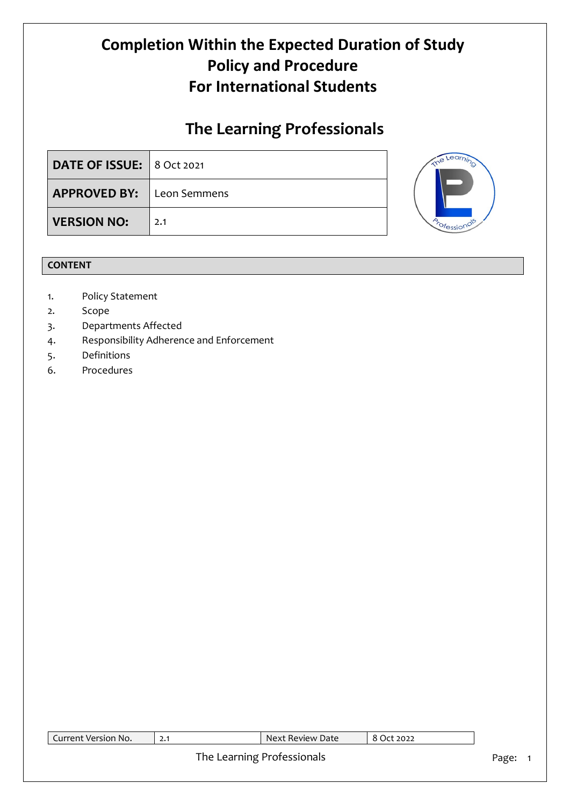# **The Learning Professionals**

| DATE OF ISSUE:   8 Oct 2021      |     |  |
|----------------------------------|-----|--|
| <b>APPROVED BY:</b> Leon Semmens |     |  |
| <b>VERSION NO:</b>               | 2.1 |  |

## **CONTENT**

- 1. Policy Statement
- 2. Scope
- 3. Departments Affected
- 4. Responsibility Adherence and Enforcement
- 5. Definitions
- 6. Procedures

| Current Version No.        | 2.1 | Next Review Date | 8 Oct 2022 |  |
|----------------------------|-----|------------------|------------|--|
| The Learning Professionals |     |                  |            |  |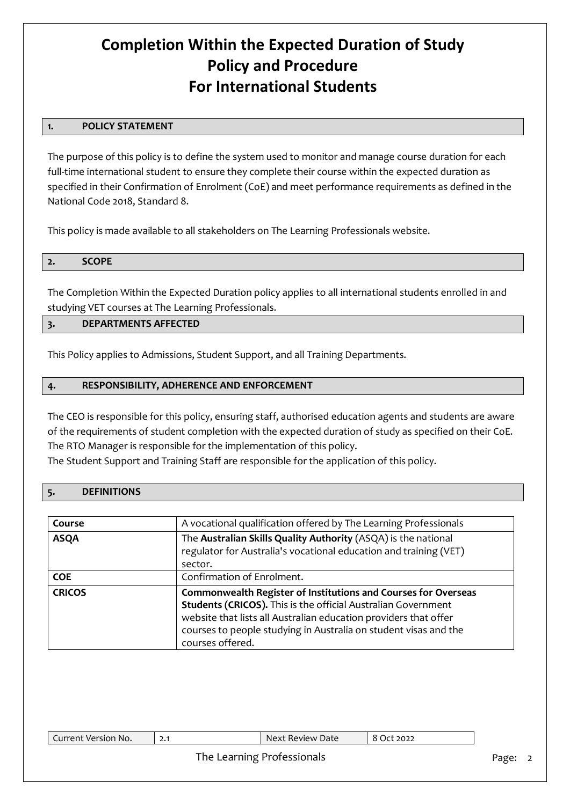## **1. POLICY STATEMENT**

The purpose of this policy is to define the system used to monitor and manage course duration for each full-time international student to ensure they complete their course within the expected duration as specified in their Confirmation of Enrolment (CoE) and meet performance requirements as defined in the National Code 2018, Standard 8.

This policy is made available to all stakeholders on The Learning Professionals website.

The Completion Within the Expected Duration policy applies to all international students enrolled in and studying VET courses at The Learning Professionals.

# **3. DEPARTMENTS AFFECTED**

This Policy applies to Admissions, Student Support, and all Training Departments.

### **4. RESPONSIBILITY, ADHERENCE AND ENFORCEMENT**

The CEO is responsible for this policy, ensuring staff, authorised education agents and students are aware of the requirements of student completion with the expected duration of study as specified on their CoE. The RTO Manager is responsible for the implementation of this policy.

The Student Support and Training Staff are responsible for the application of this policy.

#### **5. DEFINITIONS**

| Course        | A vocational qualification offered by The Learning Professionals                                                                                                                                                                                                                            |
|---------------|---------------------------------------------------------------------------------------------------------------------------------------------------------------------------------------------------------------------------------------------------------------------------------------------|
| <b>ASQA</b>   | The Australian Skills Quality Authority (ASQA) is the national<br>regulator for Australia's vocational education and training (VET)<br>sector.                                                                                                                                              |
| <b>COE</b>    | Confirmation of Enrolment.                                                                                                                                                                                                                                                                  |
| <b>CRICOS</b> | Commonwealth Register of Institutions and Courses for Overseas<br>Students (CRICOS). This is the official Australian Government<br>website that lists all Australian education providers that offer<br>courses to people studying in Australia on student visas and the<br>courses offered. |

| Next Review Date<br>Current Version No.<br>:t 2022<br>ا • 4 |
|-------------------------------------------------------------|
|-------------------------------------------------------------|

### The Learning Professionals **Page: 2** Page: 2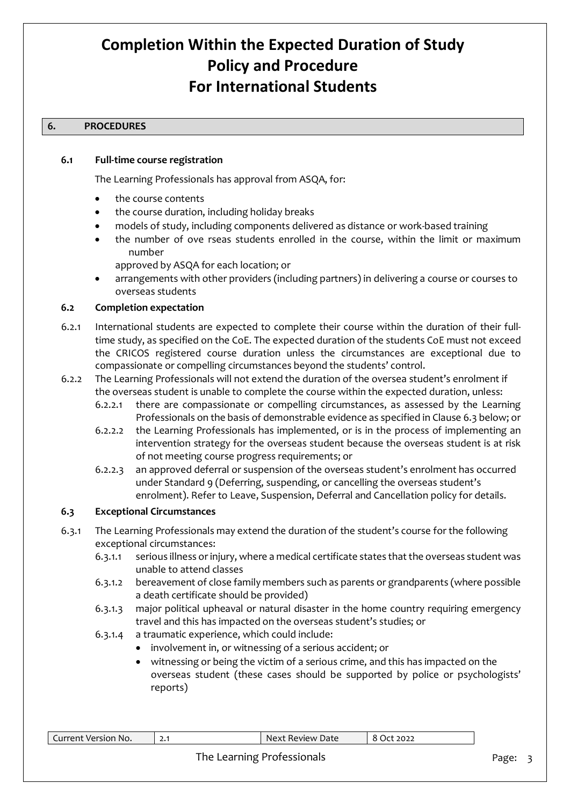### **6. PROCEDURES**

#### **6.1 Full-time course registration**

The Learning Professionals has approval from ASQA, for:

- the course contents
- the course duration, including holiday breaks
- models of study, including components delivered as distance or work-based training
- the number of ove rseas students enrolled in the course, within the limit or maximum number
	- approved by ASQA for each location; or
- arrangements with other providers (including partners) in delivering a course or courses to overseas students

#### **6.2 Completion expectation**

- 6.2.1 International students are expected to complete their course within the duration of their fulltime study, as specified on the CoE. The expected duration of the students CoE must not exceed the CRICOS registered course duration unless the circumstances are exceptional due to compassionate or compelling circumstances beyond the students' control.
- 6.2.2 The Learning Professionals will not extend the duration of the oversea student's enrolment if the overseas student is unable to complete the course within the expected duration, unless:
	- 6.2.2.1 there are compassionate or compelling circumstances, as assessed by the Learning Professionals on the basis of demonstrable evidence as specified in Clause 6.3 below; or
	- 6.2.2.2 the Learning Professionals has implemented, or is in the process of implementing an intervention strategy for the overseas student because the overseas student is at risk of not meeting course progress requirements; or
	- 6.2.2.3 an approved deferral or suspension of the overseas student's enrolment has occurred under Standard 9 (Deferring, suspending, or cancelling the overseas student's enrolment). Refer to Leave, Suspension, Deferral and Cancellation policy for details.

#### **6.3 Exceptional Circumstances**

- 6.3.1 The Learning Professionals may extend the duration of the student's course for the following exceptional circumstances:
	- 6.3.1.1 serious illness or injury, where a medical certificate states that the overseas student was unable to attend classes
	- 6.3.1.2 bereavement of close family members such as parents or grandparents (where possible a death certificate should be provided)
	- 6.3.1.3 major political upheaval or natural disaster in the home country requiring emergency travel and this has impacted on the overseas student's studies; or
	- 6.3.1.4 a traumatic experience, which could include:
		- involvement in, or witnessing of a serious accident; or
			- witnessing or being the victim of a serious crime, and this has impacted on the overseas student (these cases should be supported by police or psychologists' reports)

| Current Version No. | . ـ | Next Review Date » | 8<br>t 2022<br>$.$ ) $\tau$ |
|---------------------|-----|--------------------|-----------------------------|
|                     |     |                    |                             |

### The Learning Professionals **Page: 3** Page: 3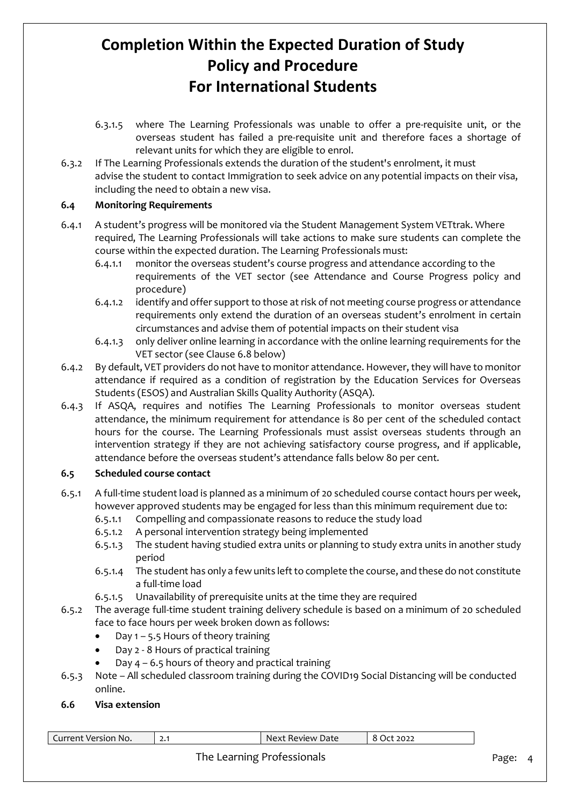- 6.3.1.5 where The Learning Professionals was unable to offer a pre-requisite unit, or the overseas student has failed a pre-requisite unit and therefore faces a shortage of relevant units for which they are eligible to enrol.
- 6.3.2 If The Learning Professionals extends the duration of the student's enrolment, it must advise the student to contact Immigration to seek advice on any potential impacts on their visa, including the need to obtain a new visa.

# **6.4 Monitoring Requirements**

- 6.4.1 A student's progress will be monitored via the Student Management System VETtrak. Where required, The Learning Professionals will take actions to make sure students can complete the course within the expected duration. The Learning Professionals must:
	- 6.4.1.1 monitor the overseas student's course progress and attendance according to the requirements of the VET sector (see Attendance and Course Progress policy and procedure)
	- 6.4.1.2 identify and offer support to those at risk of not meeting course progress or attendance requirements only extend the duration of an overseas student's enrolment in certain circumstances and advise them of potential impacts on their student visa
	- 6.4.1.3 only deliver online learning in accordance with the online learning requirements for the VET sector (see Clause 6.8 below)
- 6.4.2 By default, VET providers do not have to monitor attendance. However, they will have to monitor attendance if required as a condition of registration by the Education Services for Overseas Students (ESOS) and Australian Skills Quality Authority (ASQA).
- 6.4.3 If ASQA, requires and notifies The Learning Professionals to monitor overseas student attendance, the minimum requirement for attendance is 80 per cent of the scheduled contact hours for the course. The Learning Professionals must assist overseas students through an intervention strategy if they are not achieving satisfactory course progress, and if applicable, attendance before the overseas student's attendance falls below 80 per cent.

### **6.5 Scheduled course contact**

- 6.5.1 A full-time student load is planned as a minimum of 20 scheduled course contact hours per week, however approved students may be engaged for less than this minimum requirement due to:
	- 6.5.1.1 Compelling and compassionate reasons to reduce the study load
	- 6.5.1.2 A personal intervention strategy being implemented
	- 6.5.1.3 The student having studied extra units or planning to study extra units in another study period
	- 6.5.1.4 The student has only a few units left to complete the course, and these do not constitute a full-time load
	- 6.5.1.5 Unavailability of prerequisite units at the time they are required
- 6.5.2 The average full-time student training delivery schedule is based on a minimum of 20 scheduled face to face hours per week broken down as follows:
	- Day  $1 5.5$  Hours of theory training
	- Day 2 8 Hours of practical training
	- Day  $4 6.5$  hours of theory and practical training
- 6.5.3 Note All scheduled classroom training during the COVID19 Social Distancing will be conducted online.

### **6.6 Visa extension**